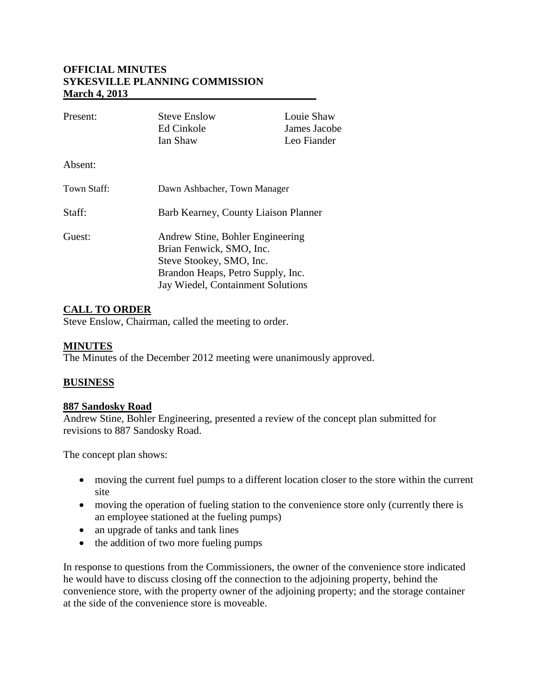### **OFFICIAL MINUTES SYKESVILLE PLANNING COMMISSION March 4, 2013**

| Present:    | <b>Steve Enslow</b><br>Ed Cinkole<br>Ian Shaw                                                                                                                      | Louie Shaw<br>James Jacobe<br>Leo Fiander |
|-------------|--------------------------------------------------------------------------------------------------------------------------------------------------------------------|-------------------------------------------|
| Absent:     |                                                                                                                                                                    |                                           |
| Town Staff: | Dawn Ashbacher, Town Manager                                                                                                                                       |                                           |
| Staff:      | Barb Kearney, County Liaison Planner                                                                                                                               |                                           |
| Guest:      | Andrew Stine, Bohler Engineering<br>Brian Fenwick, SMO, Inc.<br>Steve Stookey, SMO, Inc.<br>Brandon Heaps, Petro Supply, Inc.<br>Jay Wiedel, Containment Solutions |                                           |

# **CALL TO ORDER**

Steve Enslow, Chairman, called the meeting to order.

#### **MINUTES**

The Minutes of the December 2012 meeting were unanimously approved.

#### **BUSINESS**

#### **887 Sandosky Road**

Andrew Stine, Bohler Engineering, presented a review of the concept plan submitted for revisions to 887 Sandosky Road.

The concept plan shows:

- moving the current fuel pumps to a different location closer to the store within the current site
- moving the operation of fueling station to the convenience store only (currently there is an employee stationed at the fueling pumps)
- an upgrade of tanks and tank lines
- the addition of two more fueling pumps

In response to questions from the Commissioners, the owner of the convenience store indicated he would have to discuss closing off the connection to the adjoining property, behind the convenience store, with the property owner of the adjoining property; and the storage container at the side of the convenience store is moveable.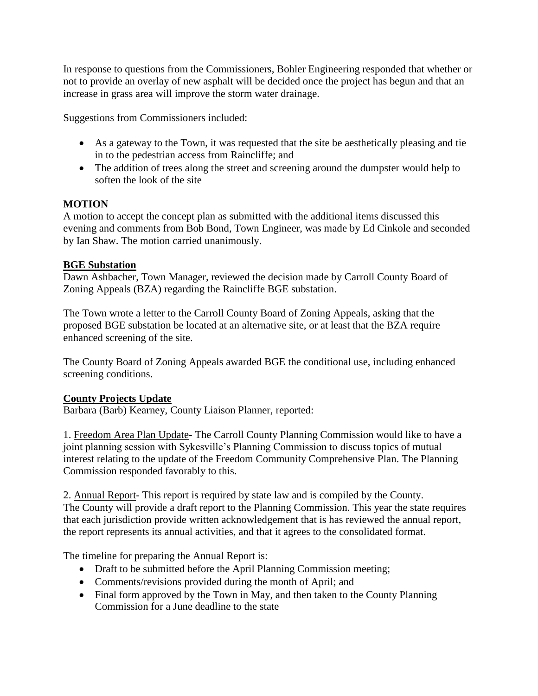In response to questions from the Commissioners, Bohler Engineering responded that whether or not to provide an overlay of new asphalt will be decided once the project has begun and that an increase in grass area will improve the storm water drainage.

Suggestions from Commissioners included:

- As a gateway to the Town, it was requested that the site be aesthetically pleasing and tie in to the pedestrian access from Raincliffe; and
- The addition of trees along the street and screening around the dumpster would help to soften the look of the site

## **MOTION**

A motion to accept the concept plan as submitted with the additional items discussed this evening and comments from Bob Bond, Town Engineer, was made by Ed Cinkole and seconded by Ian Shaw. The motion carried unanimously.

## **BGE Substation**

Dawn Ashbacher, Town Manager, reviewed the decision made by Carroll County Board of Zoning Appeals (BZA) regarding the Raincliffe BGE substation.

The Town wrote a letter to the Carroll County Board of Zoning Appeals, asking that the proposed BGE substation be located at an alternative site, or at least that the BZA require enhanced screening of the site.

The County Board of Zoning Appeals awarded BGE the conditional use, including enhanced screening conditions.

# **County Projects Update**

Barbara (Barb) Kearney, County Liaison Planner, reported:

1. Freedom Area Plan Update- The Carroll County Planning Commission would like to have a joint planning session with Sykesville's Planning Commission to discuss topics of mutual interest relating to the update of the Freedom Community Comprehensive Plan. The Planning Commission responded favorably to this.

2. Annual Report- This report is required by state law and is compiled by the County. The County will provide a draft report to the Planning Commission. This year the state requires that each jurisdiction provide written acknowledgement that is has reviewed the annual report, the report represents its annual activities, and that it agrees to the consolidated format.

The timeline for preparing the Annual Report is:

- Draft to be submitted before the April Planning Commission meeting;
- Comments/revisions provided during the month of April; and
- Final form approved by the Town in May, and then taken to the County Planning Commission for a June deadline to the state